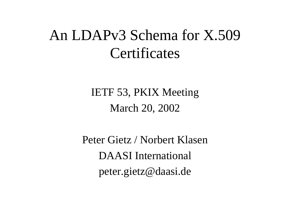### An LDAPv3 Schema for X.509 **Certificates**

#### IETF 53, PKIX Meeting March 20, 2002

Peter Gietz / Norbert KlasenDAASI International peter.gietz@daasi.de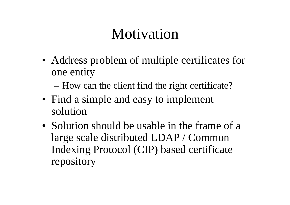### Motivation

- Address problem of multiple certificates for one entity
	- How can the client find the right certificate?
- Find a simple and easy to implement solution
- Solution should be usable in the frame of a large scale distributed LDAP / Common Indexing Protocol (CIP) based certificate repository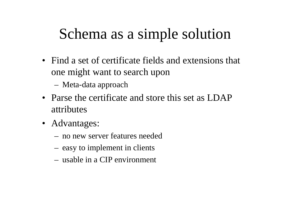### Schema as a simple solution

- Find a set of certificate fields and extensions that one might want to search upon
	- Meta-data approach
- Parse the certificate and store this set as LDAP attributes
- Advantages:
	- no new server features needed
	- easy to implement in clients
	- usable in a CIP environment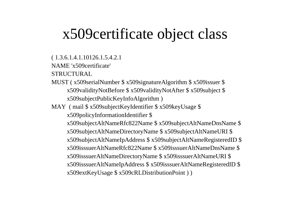### x509certificate object class

( 1.3.6.1.4.1.10126.1.5.4.2.1

NAME 'x509certificate'

STRUCTURAL

- MUST ( x509serialNumber \$ x509signatureAlgorithm \$ x509issuer \$ x509validityNotBefore \$ x509validityNotAfter \$ x509subject \$ x509subjectPublicKeyInfoAlgorithm )
- MAY ( mail \$ x509subjectKeyIdentifier \$ x509keyUsage \$ x509policyInformationIdentifier \$ x509subjectAltNameRfc822Name \$ x509subjectAltNameDnsName \$ x509subjectAltNameDirectoryName \$ x509subjectAltNameURI \$ x509subjectAltNameIpAddress \$ x509subjectAltNameRegisteredID \$ x509isssuerAltNameRfc822Name \$ x509isssuerAltNameDnsName \$ x509isssuerAltNameDirectoryName \$ x509isssuerAltNameURI \$ x509isssuerAltNameIpAddress \$ x509isssuerAltNameRegisteredID \$ x509extKeyUsage \$ x509cRLDistributionPoint ) )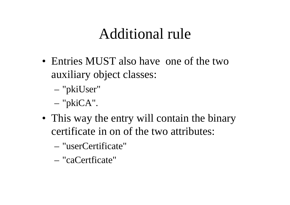#### Additional rule

- Entries MUST also have one of the two auxiliary object classes:
	- "pkiUser"
	- "pkiCA".
- This way the entry will contain the binary certificate in on of the two attributes:
	- "userCertificate"
	- "caCertficate"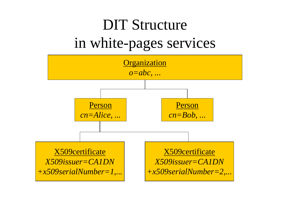# DIT Structure in white-pages services

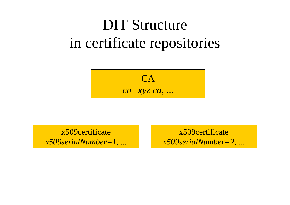# DIT Structure in certificate repositories

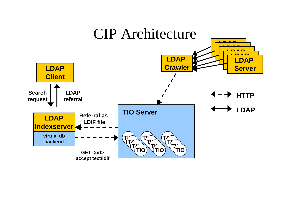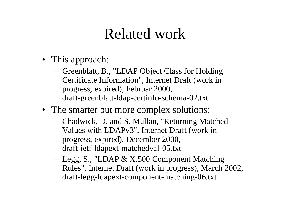#### Related work

- This approach:
	- Greenblatt, B., "LDAP Object Class for Holding Certificate Information", Internet Draft (work in progress, expired), Februar 2000, draft-greenblatt-ldap-certinfo-schema-02.txt
- The smarter but more complex solutions:
	- Chadwick, D. and S. Mullan, "Returning Matched Values with LDAPv3", Internet Draft (work in progress, expired), December 2000, draft-ietf-ldapext-matchedval-05.txt
	- Legg, S., "LDAP & X.500 Component Matching Rules", Internet Draft (work in progress), March 2002, draft-legg-ldapext-component-matching-06.txt